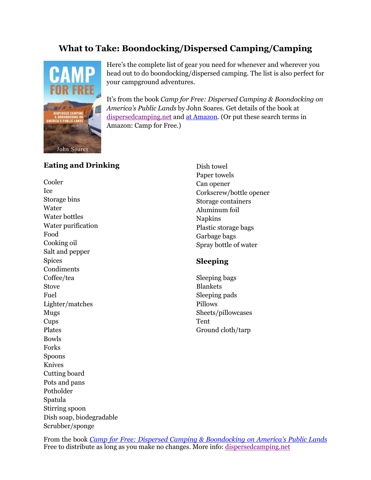# **What to Take: Boondocking/Dispersed Camping/Camping**



Here's the complete list of gear you need for whenever and wherever you head out to do boondocking/dispersed camping. The list is also perfect for your campground adventures.

It's from the book *Camp for Free: Dispersed Camping & Boondocking on America's Public Lands* by John Soares. Get details of the book at [dispersedcamping.net](http://dispersedcamping.net/) and [at Amazon.](https://amzn.to/2CPMlbP) (Or put these search terms in Amazon: Camp for Free.)

# **Eating and Drinking**

Cooler Ice Storage bins Water Water bottles Water purification Food Cooking oil Salt and pepper Spices Condiments Coffee/tea Stove Fuel Lighter/matches Mugs Cups Plates Bowls Forks Spoons Knives Cutting board Pots and pans Potholder Spatula Stirring spoon Dish soap, biodegradable Scrubber/sponge

Dish towel Paper towels Can opener Corkscrew/bottle opener Storage containers Aluminum foil Napkins Plastic storage bags Garbage bags Spray bottle of water

# **Sleeping**

Sleeping bags Blankets Sleeping pads Pillows Sheets/pillowcases Tent Ground cloth/tarp

From the book *[Camp for Free: Dispersed Camping & Boondocking on America](https://amzn.to/2CPMlbP)'s Public Lands* Free to distribute as long as you make no changes. More info: [dispersedcamping.net](http://dispersedcamping.net/)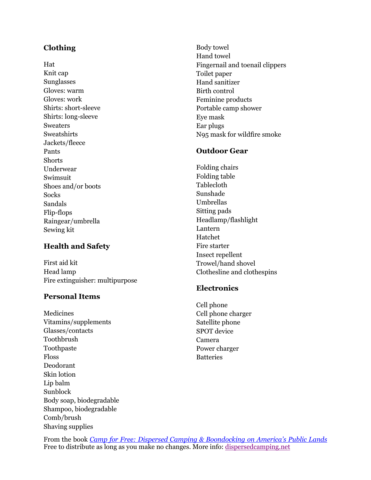# **Clothing**

Hat Knit cap Sunglasses Gloves: warm Gloves: work Shirts: short-sleeve Shirts: long-sleeve Sweaters Sweatshirts Jackets/fleece Pants **Shorts** Underwear Swimsuit Shoes and/or boots Socks Sandals Flip-flops Raingear/umbrella Sewing kit

# **Health and Safety**

First aid kit Head lamp Fire extinguisher: multipurpose

# **Personal Items**

Medicines Vitamins/supplements Glasses/contacts Toothbrush Toothpaste Floss Deodorant Skin lotion Lip balm Sunblock Body soap, biodegradable Shampoo, biodegradable Comb/brush Shaving supplies

Body towel Hand towel Fingernail and toenail clippers Toilet paper Hand sanitizer Birth control Feminine products Portable camp shower Eye mask Ear plugs N95 mask for wildfire smoke

#### **Outdoor Gear**

Folding chairs Folding table Tablecloth Sunshade Umbrellas Sitting pads Headlamp/flashlight Lantern Hatchet Fire starter Insect repellent Trowel/hand shovel Clothesline and clothespins

### **Electronics**

Cell phone Cell phone charger Satellite phone SPOT device Camera Power charger Batteries

From the book *[Camp for Free: Dispersed Camping & Boondocking on America](https://amzn.to/2CPMlbP)'s Public Lands* Free to distribute as long as you make no changes. More info: [dispersedcamping.net](http://dispersedcamping.net/)